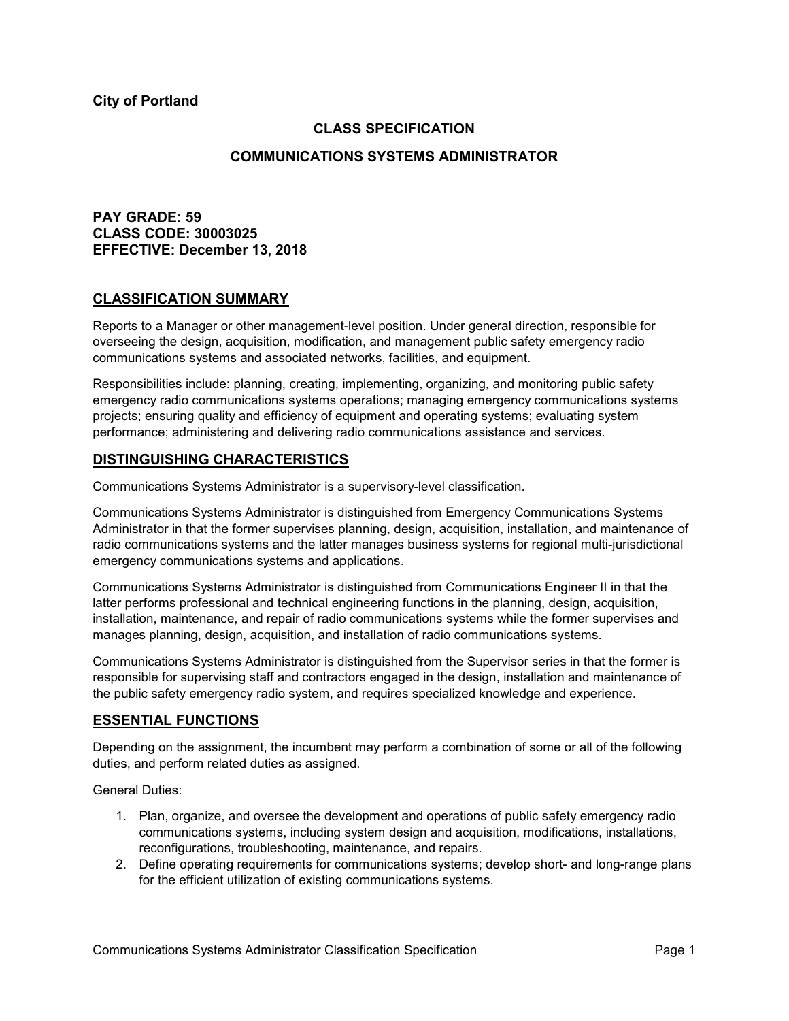**City of Portland**

## **CLASS SPECIFICATION**

### **COMMUNICATIONS SYSTEMS ADMINISTRATOR**

# **PAY GRADE: 59 CLASS CODE: 30003025 EFFECTIVE: December 13, 2018**

#### **CLASSIFICATION SUMMARY**

Reports to a Manager or other management-level position. Under general direction, responsible for overseeing the design, acquisition, modification, and management public safety emergency radio communications systems and associated networks, facilities, and equipment.

Responsibilities include: planning, creating, implementing, organizing, and monitoring public safety emergency radio communications systems operations; managing emergency communications systems projects; ensuring quality and efficiency of equipment and operating systems; evaluating system performance; administering and delivering radio communications assistance and services.

### **DISTINGUISHING CHARACTERISTICS**

Communications Systems Administrator is a supervisory-level classification.

Communications Systems Administrator is distinguished from Emergency Communications Systems Administrator in that the former supervises planning, design, acquisition, installation, and maintenance of radio communications systems and the latter manages business systems for regional multi-jurisdictional emergency communications systems and applications.

Communications Systems Administrator is distinguished from Communications Engineer II in that the latter performs professional and technical engineering functions in the planning, design, acquisition, installation, maintenance, and repair of radio communications systems while the former supervises and manages planning, design, acquisition, and installation of radio communications systems.

Communications Systems Administrator is distinguished from the Supervisor series in that the former is responsible for supervising staff and contractors engaged in the design, installation and maintenance of the public safety emergency radio system, and requires specialized knowledge and experience.

### **ESSENTIAL FUNCTIONS**

Depending on the assignment, the incumbent may perform a combination of some or all of the following duties, and perform related duties as assigned.

General Duties:

- 1. Plan, organize, and oversee the development and operations of public safety emergency radio communications systems, including system design and acquisition, modifications, installations, reconfigurations, troubleshooting, maintenance, and repairs.
- 2. Define operating requirements for communications systems; develop short- and long-range plans for the efficient utilization of existing communications systems.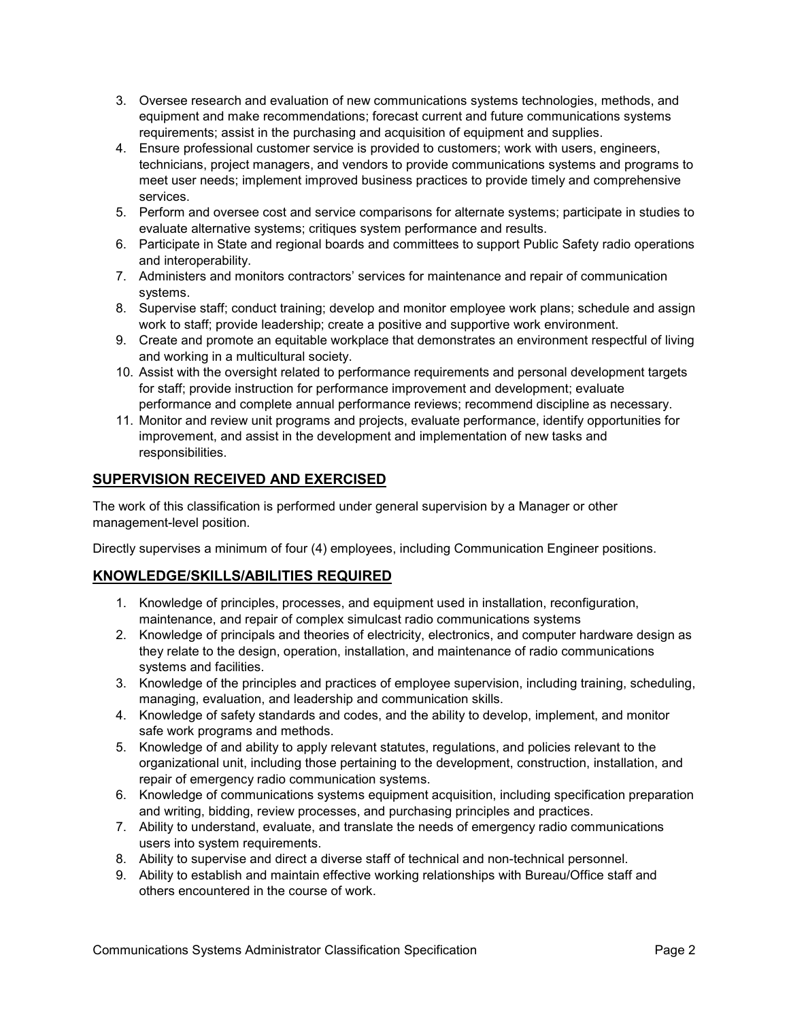- 3. Oversee research and evaluation of new communications systems technologies, methods, and equipment and make recommendations; forecast current and future communications systems requirements; assist in the purchasing and acquisition of equipment and supplies.
- 4. Ensure professional customer service is provided to customers; work with users, engineers, technicians, project managers, and vendors to provide communications systems and programs to meet user needs; implement improved business practices to provide timely and comprehensive services.
- 5. Perform and oversee cost and service comparisons for alternate systems; participate in studies to evaluate alternative systems; critiques system performance and results.
- 6. Participate in State and regional boards and committees to support Public Safety radio operations and interoperability.
- 7. Administers and monitors contractors' services for maintenance and repair of communication systems.
- 8. Supervise staff; conduct training; develop and monitor employee work plans; schedule and assign work to staff; provide leadership; create a positive and supportive work environment.
- 9. Create and promote an equitable workplace that demonstrates an environment respectful of living and working in a multicultural society.
- 10. Assist with the oversight related to performance requirements and personal development targets for staff; provide instruction for performance improvement and development; evaluate performance and complete annual performance reviews; recommend discipline as necessary.
- 11. Monitor and review unit programs and projects, evaluate performance, identify opportunities for improvement, and assist in the development and implementation of new tasks and responsibilities.

# **SUPERVISION RECEIVED AND EXERCISED**

The work of this classification is performed under general supervision by a Manager or other management-level position.

Directly supervises a minimum of four (4) employees, including Communication Engineer positions.

# **KNOWLEDGE/SKILLS/ABILITIES REQUIRED**

- 1. Knowledge of principles, processes, and equipment used in installation, reconfiguration, maintenance, and repair of complex simulcast radio communications systems
- 2. Knowledge of principals and theories of electricity, electronics, and computer hardware design as they relate to the design, operation, installation, and maintenance of radio communications systems and facilities.
- 3. Knowledge of the principles and practices of employee supervision, including training, scheduling, managing, evaluation, and leadership and communication skills.
- 4. Knowledge of safety standards and codes, and the ability to develop, implement, and monitor safe work programs and methods.
- 5. Knowledge of and ability to apply relevant statutes, regulations, and policies relevant to the organizational unit, including those pertaining to the development, construction, installation, and repair of emergency radio communication systems.
- 6. Knowledge of communications systems equipment acquisition, including specification preparation and writing, bidding, review processes, and purchasing principles and practices.
- 7. Ability to understand, evaluate, and translate the needs of emergency radio communications users into system requirements.
- 8. Ability to supervise and direct a diverse staff of technical and non-technical personnel.
- 9. Ability to establish and maintain effective working relationships with Bureau/Office staff and others encountered in the course of work.